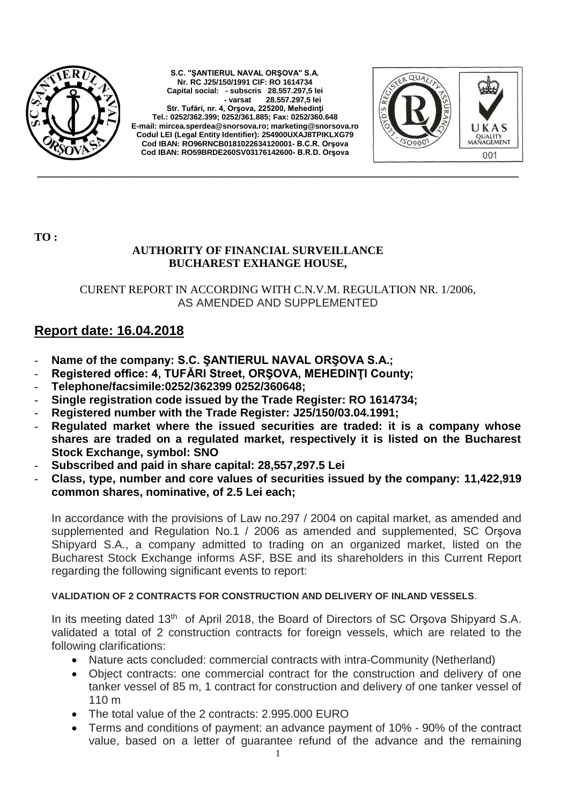

**S.C. "ŞANTIERUL NAVAL ORŞOVA" S.A. Nr. RC J25/150/1991 CIF: RO 1614734 Capital social: - subscris 28.557.297,5 lei - varsat 28.557.297,5 lei Str. Tufări, nr. 4, Orşova, 225200, Mehedinţi Tel.: 0252/362.399; 0252/361.885; Fax: 0252/360.648 E-mail[: mircea.sperdea@snorsova.ro;](mailto:mircea.sperdea@snorsova.ro) [marketing@snorsova.ro](mailto:marketing@snorsova.ro) Codul LEI (Legal Entity Identifier): 254900UXAJ8TPIKLXG79 Cod IBAN: RO96RNCB0181022634120001- B.C.R. Orşova Cod IBAN: RO59BRDE260SV03176142600- B.R.D. Orşova**



**TO :**

## **AUTHORITY OF FINANCIAL SURVEILLANCE BUCHAREST EXHANGE HOUSE,**

CURENT REPORT IN ACCORDING WITH C.N.V.M. REGULATION NR. 1/2006, AS AMENDED AND SUPPLEMENTED

**\_\_\_\_\_\_\_\_\_\_\_\_\_\_\_\_\_\_\_\_\_\_\_\_\_\_\_\_\_\_\_\_\_\_\_\_\_\_\_\_\_\_\_\_\_\_\_\_\_\_\_\_\_\_\_\_\_\_\_\_\_\_\_\_\_\_\_\_\_\_\_\_\_\_\_\_\_\_\_\_\_\_\_\_**

## **Report date: 16.04.2018**

- Name of the company: S.C. ŞANTIERUL NAVAL ORŞOVA S.A.;
- **Registered office: 4, TUFĂRI Street, ORŞOVA, MEHEDINŢI County;**
- **Telephone/facsimile:0252/362399 0252/360648;**
- **Single registration code issued by the Trade Register: RO 1614734;**
- **Registered number with the Trade Register: J25/150/03.04.1991;**
- **Regulated market where the issued securities are traded: it is a company whose shares are traded on a regulated market, respectively it is listed on the Bucharest Stock Exchange, symbol: SNO**
- **Subscribed and paid in share capital: 28,557,297.5 Lei**
- **Class, type, number and core values of securities issued by the company: 11,422,919 common shares, nominative, of 2.5 Lei each;**

In accordance with the provisions of Law no.297 / 2004 on capital market, as amended and supplemented and Regulation No.1 / 2006 as amended and supplemented, SC Orşova Shipyard S.A., a company admitted to trading on an organized market, listed on the Bucharest Stock Exchange informs ASF, BSE and its shareholders in this Current Report regarding the following significant events to report:

## **VALIDATION OF 2 CONTRACTS FOR CONSTRUCTION AND DELIVERY OF INLAND VESSELS**.

In its meeting dated 13<sup>th</sup> of April 2018, the Board of Directors of SC Orsova Shipyard S.A. validated a total of 2 construction contracts for foreign vessels, which are related to the following clarifications:

- Nature acts concluded: commercial contracts with intra-Community (Netherland)
- Object contracts: one commercial contract for the construction and delivery of one tanker vessel of 85 m, 1 contract for construction and delivery of one tanker vessel of 110 m
- The total value of the 2 contracts: 2.995.000 EURO
- Terms and conditions of payment: an advance payment of 10% 90% of the contract value, based on a letter of guarantee refund of the advance and the remaining